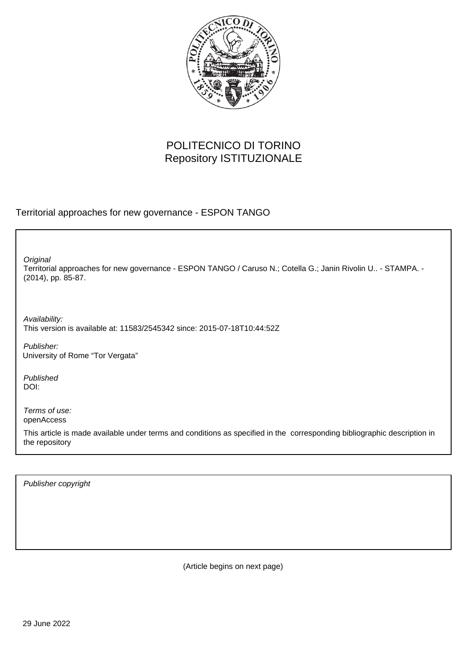

# POLITECNICO DI TORINO Repository ISTITUZIONALE

Territorial approaches for new governance - ESPON TANGO

Territorial approaches for new governance - ESPON TANGO / Caruso N.; Cotella G.; Janin Rivolin U.. - STAMPA. - (2014), pp. 85-87. **Original** 

Availability: This version is available at: 11583/2545342 since: 2015-07-18T10:44:52Z

Publisher: University of Rome "Tor Vergata"

Published DOI:

Terms of use: openAccess

This article is made available under terms and conditions as specified in the corresponding bibliographic description in the repository

Publisher copyright

(Article begins on next page)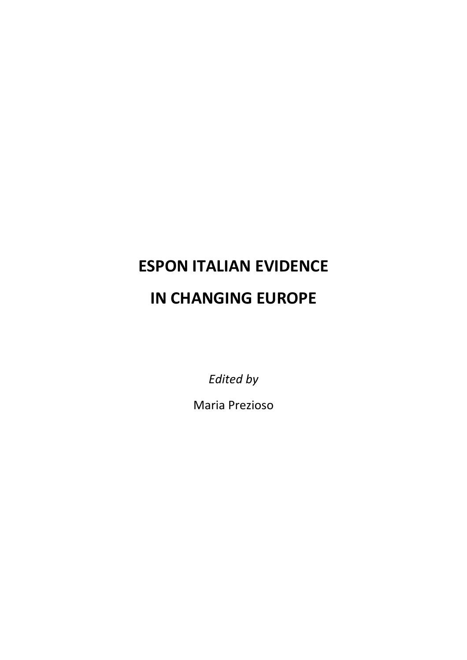# **ESPON ITALIAN EVIDENCE IN CHANGING EUROPE**

*Edited by*

Maria Prezioso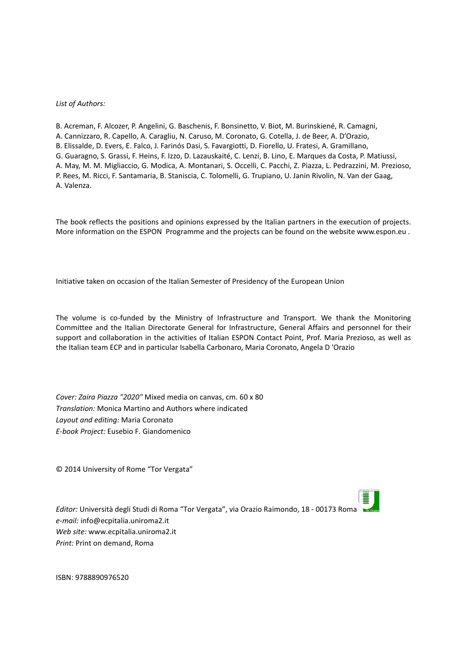#### *List of Authors:*

B. Acreman, F. Alcozer, P. Angelini, G. Baschenis, F. Bonsinetto, V. Biot, M. Burinskiené, R. Camagni, A. Cannizzaro, R. Capello, A. Caragliu, N. Caruso, M. Coronato, G. Cotella, J. de Beer, A. D'Orazio, B. Elissalde, D. Evers, E. Falco, J. Farinós Dasi, S. Favargiotti, D. Fiorello, U. Fratesi, A. Gramillano, G. Guaragno, S. Grassi, F. Heins, F. Izzo, D. Lazauskaité, C. Lenzi, B. Lino, E. Marques da Costa, P. Matiussi, A. May, M. M. Migliaccio, G. Modica, A. Montanari, S. Occelli, C. Pacchi, Z. Piazza, L. Pedrazzini, M. Prezioso, P. Rees, M. Ricci, F. Santamaria, B. Staniscia, C. Tolomelli, G. Trupiano, U. Janin Rivolin, N. Van der Gaag, A. Valenza.

The book reflects the positions and opinions expressed by the Italian partners in the execution of projects. More information on the ESPON Programme and the projects can be found on the website www.espon.eu .

Initiative taken on occasion of the Italian Semester of Presidency of the European Union

The volume is co-funded by the Ministry of Infrastructure and Transport. We thank the Monitoring Committee and the Italian Directorate General for Infrastructure, General Affairs and personnel for their support and collaboration in the activities of Italian ESPON Contact Point, Prof. Maria Prezioso, as well as the Italian team ECP and in particular Isabella Carbonaro, Maria Coronato, Angela D 'Orazio

*Cover: Zaira Piazza "2020"* Mixed media on canvas, cm. 60 x 80 *Translation:* Monica Martino and Authors where indicated *Layout and editing:* Maria Coronato *EͲbook Project:* Eusebio F. Giandomenico

© 2014 University of Rome "Tor Vergata"

*Editor:* Università degli Studi di Roma "Tor Vergata", via Orazio Raimondo, 18 - 00173 Roma *e-mail:* info@ecpitalia.uniroma2.it *Web site:* www.ecpitalia.uniroma2.it *Print:* Print on demand, Roma

ISBN: 9788890976520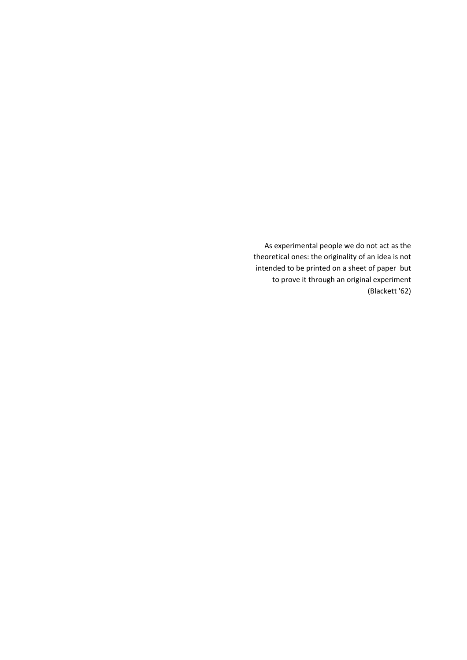As experimental people we do not act as the theoretical ones: the originality of an idea is not intended to be printed on a sheet of paper but to prove it through an original experiment (Blackett '62)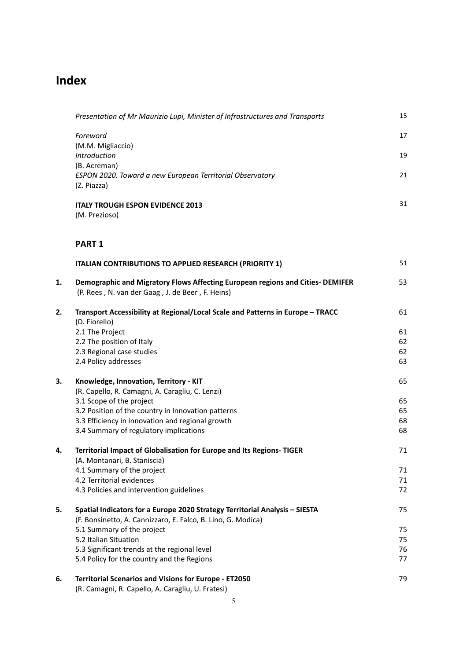# **Index**

|    | Presentation of Mr Maurizio Lupi, Minister of Infrastructures and Transports                    | 15       |
|----|-------------------------------------------------------------------------------------------------|----------|
|    | Foreword                                                                                        | 17       |
|    | (M.M. Migliaccio)                                                                               |          |
|    | Introduction                                                                                    | 19       |
|    | (B. Acreman)                                                                                    |          |
|    | ESPON 2020. Toward a new European Territorial Observatory<br>(Z. Piazza)                        | 21       |
|    | <b>ITALY TROUGH ESPON EVIDENCE 2013</b>                                                         | 31       |
|    | (M. Prezioso)                                                                                   |          |
|    | <b>PART 1</b>                                                                                   |          |
|    | ITALIAN CONTRIBUTIONS TO APPLIED RESEARCH (PRIORITY 1)                                          | 51       |
| 1. | Demographic and Migratory Flows Affecting European regions and Cities- DEMIFER                  | 53       |
|    | (P. Rees, N. van der Gaag, J. de Beer, F. Heins)                                                |          |
| 2. | Transport Accessibility at Regional/Local Scale and Patterns in Europe - TRACC<br>(D. Fiorello) | 61       |
|    | 2.1 The Project                                                                                 | 61       |
|    | 2.2 The position of Italy                                                                       | 62       |
|    | 2.3 Regional case studies                                                                       | 62       |
|    | 2.4 Policy addresses                                                                            | 63       |
| 3. | Knowledge, Innovation, Territory - KIT                                                          | 65       |
|    | (R. Capello, R. Camagni, A. Caragliu, C. Lenzi)                                                 |          |
|    | 3.1 Scope of the project                                                                        | 65       |
|    | 3.2 Position of the country in Innovation patterns                                              | 65       |
|    | 3.3 Efficiency in innovation and regional growth                                                | 68       |
|    | 3.4 Summary of regulatory implications                                                          | 68       |
| 4. | Territorial Impact of Globalisation for Europe and Its Regions-TIGER                            | 71       |
|    | (A. Montanari, B. Staniscia)                                                                    |          |
|    | 4.1 Summary of the project                                                                      | 71       |
|    | 4.2 Territorial evidences                                                                       | 71       |
|    | 4.3 Policies and intervention guidelines                                                        | 72       |
| 5. | Spatial Indicators for a Europe 2020 Strategy Territorial Analysis - SIESTA                     | 75       |
|    | (F. Bonsinetto, A. Cannizzaro, E. Falco, B. Lino, G. Modica)                                    |          |
|    | 5.1 Summary of the project<br>5.2 Italian Situation                                             | 75<br>75 |
|    | 5.3 Significant trends at the regional level                                                    | 76       |
|    | 5.4 Policy for the country and the Regions                                                      | 77       |
|    |                                                                                                 |          |
| 6. | <b>Territorial Scenarios and Visions for Europe - ET2050</b>                                    | 79       |

(R. Camagni, R. Capello, A. Caragliu, U. Fratesi)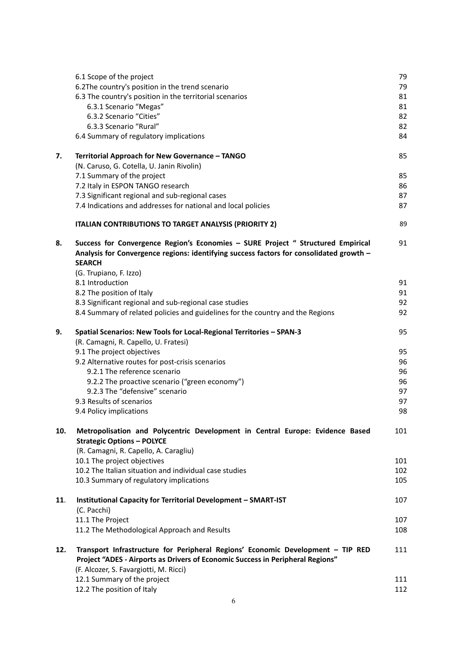|     | 6.1 Scope of the project                                                                                                                                                                                    | 79  |
|-----|-------------------------------------------------------------------------------------------------------------------------------------------------------------------------------------------------------------|-----|
|     | 6.2The country's position in the trend scenario                                                                                                                                                             | 79  |
|     | 6.3 The country's position in the territorial scenarios                                                                                                                                                     | 81  |
|     | 6.3.1 Scenario "Megas"                                                                                                                                                                                      | 81  |
|     | 6.3.2 Scenario "Cities"                                                                                                                                                                                     | 82  |
|     | 6.3.3 Scenario "Rural"                                                                                                                                                                                      | 82  |
|     | 6.4 Summary of regulatory implications                                                                                                                                                                      | 84  |
| 7.  | Territorial Approach for New Governance - TANGO                                                                                                                                                             | 85  |
|     | (N. Caruso, G. Cotella, U. Janin Rivolin)                                                                                                                                                                   |     |
|     | 7.1 Summary of the project                                                                                                                                                                                  | 85  |
|     | 7.2 Italy in ESPON TANGO research                                                                                                                                                                           | 86  |
|     | 7.3 Significant regional and sub-regional cases                                                                                                                                                             | 87  |
|     | 7.4 Indications and addresses for national and local policies                                                                                                                                               | 87  |
|     | <b>ITALIAN CONTRIBUTIONS TO TARGET ANALYSIS (PRIORITY 2)</b>                                                                                                                                                | 89  |
| 8.  | Success for Convergence Region's Economies - SURE Project " Structured Empirical<br>Analysis for Convergence regions: identifying success factors for consolidated growth -<br><b>SEARCH</b>                | 91  |
|     | (G. Trupiano, F. Izzo)                                                                                                                                                                                      |     |
|     | 8.1 Introduction                                                                                                                                                                                            | 91  |
|     | 8.2 The position of Italy                                                                                                                                                                                   | 91  |
|     | 8.3 Significant regional and sub-regional case studies                                                                                                                                                      | 92  |
|     | 8.4 Summary of related policies and guidelines for the country and the Regions                                                                                                                              | 92  |
| 9.  | Spatial Scenarios: New Tools for Local-Regional Territories - SPAN-3<br>(R. Camagni, R. Capello, U. Fratesi)                                                                                                | 95  |
|     | 9.1 The project objectives                                                                                                                                                                                  | 95  |
|     | 9.2 Alternative routes for post-crisis scenarios                                                                                                                                                            | 96  |
|     | 9.2.1 The reference scenario                                                                                                                                                                                | 96  |
|     | 9.2.2 The proactive scenario ("green economy")                                                                                                                                                              | 96  |
|     | 9.2.3 The "defensive" scenario                                                                                                                                                                              | 97  |
|     | 9.3 Results of scenarios                                                                                                                                                                                    | 97  |
|     | 9.4 Policy implications                                                                                                                                                                                     | 98  |
| 10. | Metropolisation and Polycentric Development in Central Europe: Evidence Based<br><b>Strategic Options - POLYCE</b>                                                                                          | 101 |
|     | (R. Camagni, R. Capello, A. Caragliu)                                                                                                                                                                       |     |
|     | 10.1 The project objectives                                                                                                                                                                                 | 101 |
|     | 10.2 The Italian situation and individual case studies                                                                                                                                                      | 102 |
|     | 10.3 Summary of regulatory implications                                                                                                                                                                     | 105 |
| 11. | Institutional Capacity for Territorial Development - SMART-IST                                                                                                                                              | 107 |
|     | (C. Pacchi)                                                                                                                                                                                                 |     |
|     | 11.1 The Project                                                                                                                                                                                            | 107 |
|     | 11.2 The Methodological Approach and Results                                                                                                                                                                | 108 |
| 12. | Transport Infrastructure for Peripheral Regions' Economic Development - TIP RED<br>Project "ADES - Airports as Drivers of Economic Success in Peripheral Regions"<br>(F. Alcozer, S. Favargiotti, M. Ricci) | 111 |
|     | 12.1 Summary of the project                                                                                                                                                                                 | 111 |
|     | 12.2 The position of Italy                                                                                                                                                                                  | 112 |
|     |                                                                                                                                                                                                             |     |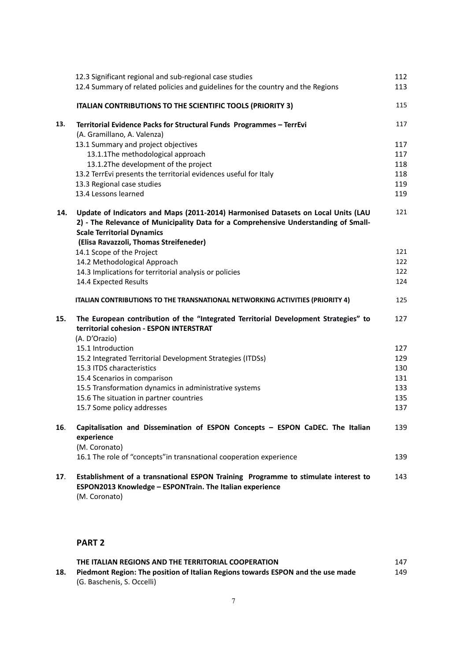|     | 12.3 Significant regional and sub-regional case studies                                                                                                         | 112 |
|-----|-----------------------------------------------------------------------------------------------------------------------------------------------------------------|-----|
|     | 12.4 Summary of related policies and guidelines for the country and the Regions                                                                                 | 113 |
|     | ITALIAN CONTRIBUTIONS TO THE SCIENTIFIC TOOLS (PRIORITY 3)                                                                                                      | 115 |
| 13. | Territorial Evidence Packs for Structural Funds Programmes - TerrEvi                                                                                            | 117 |
|     | (A. Gramillano, A. Valenza)                                                                                                                                     | 117 |
|     | 13.1 Summary and project objectives<br>13.1.1The methodological approach                                                                                        | 117 |
|     | 13.1.2The development of the project                                                                                                                            | 118 |
|     | 13.2 TerrEvi presents the territorial evidences useful for Italy                                                                                                | 118 |
|     | 13.3 Regional case studies                                                                                                                                      | 119 |
|     | 13.4 Lessons learned                                                                                                                                            | 119 |
| 14. | Update of Indicators and Maps (2011-2014) Harmonised Datasets on Local Units (LAU                                                                               | 121 |
|     | 2) - The Relevance of Municipality Data for a Comprehensive Understanding of Small-                                                                             |     |
|     | <b>Scale Territorial Dynamics</b>                                                                                                                               |     |
|     | (Elisa Ravazzoli, Thomas Streifeneder)<br>14.1 Scope of the Project                                                                                             | 121 |
|     | 14.2 Methodological Approach                                                                                                                                    | 122 |
|     | 14.3 Implications for territorial analysis or policies                                                                                                          | 122 |
|     | 14.4 Expected Results                                                                                                                                           | 124 |
|     | ITALIAN CONTRIBUTIONS TO THE TRANSNATIONAL NETWORKING ACTIVITIES (PRIORITY 4)                                                                                   | 125 |
| 15. | The European contribution of the "Integrated Territorial Development Strategies" to<br>territorial cohesion - ESPON INTERSTRAT<br>(A. D'Orazio)                 | 127 |
|     | 15.1 Introduction                                                                                                                                               | 127 |
|     | 15.2 Integrated Territorial Development Strategies (ITDSs)                                                                                                      | 129 |
|     | 15.3 ITDS characteristics                                                                                                                                       | 130 |
|     | 15.4 Scenarios in comparison                                                                                                                                    | 131 |
|     | 15.5 Transformation dynamics in administrative systems                                                                                                          | 133 |
|     | 15.6 The situation in partner countries                                                                                                                         | 135 |
|     | 15.7 Some policy addresses                                                                                                                                      | 137 |
| 16. | Capitalisation and Dissemination of ESPON Concepts - ESPON CaDEC. The Italian<br>experience<br>(M. Coronato)                                                    | 139 |
|     | 16.1 The role of "concepts" in transnational cooperation experience                                                                                             | 139 |
| 17. | Establishment of a transnational ESPON Training Programme to stimulate interest to<br>ESPON2013 Knowledge - ESPONTrain. The Italian experience<br>(M. Coronato) | 143 |

## **PART 2**

|     | THE ITALIAN REGIONS AND THE TERRITORIAL COOPERATION                             | 147 |
|-----|---------------------------------------------------------------------------------|-----|
| 18. | Piedmont Region: The position of Italian Regions towards ESPON and the use made | 149 |
|     | (G. Baschenis, S. Occelli)                                                      |     |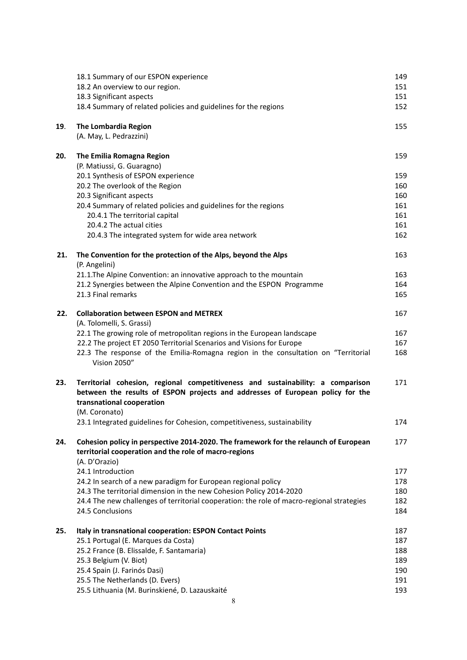|     | 18.1 Summary of our ESPON experience                                                                                                        | 149        |
|-----|---------------------------------------------------------------------------------------------------------------------------------------------|------------|
|     | 18.2 An overview to our region.                                                                                                             | 151        |
|     | 18.3 Significant aspects                                                                                                                    | 151        |
|     | 18.4 Summary of related policies and guidelines for the regions                                                                             | 152        |
| 19. | <b>The Lombardia Region</b>                                                                                                                 | 155        |
|     | (A. May, L. Pedrazzini)                                                                                                                     |            |
| 20. | The Emilia Romagna Region                                                                                                                   | 159        |
|     | (P. Matiussi, G. Guaragno)                                                                                                                  |            |
|     | 20.1 Synthesis of ESPON experience                                                                                                          | 159        |
|     | 20.2 The overlook of the Region                                                                                                             | 160        |
|     | 20.3 Significant aspects                                                                                                                    | 160        |
|     | 20.4 Summary of related policies and guidelines for the regions                                                                             | 161        |
|     | 20.4.1 The territorial capital                                                                                                              | 161        |
|     | 20.4.2 The actual cities                                                                                                                    | 161        |
|     | 20.4.3 The integrated system for wide area network                                                                                          | 162        |
| 21. | The Convention for the protection of the Alps, beyond the Alps                                                                              | 163        |
|     | (P. Angelini)                                                                                                                               |            |
|     | 21.1. The Alpine Convention: an innovative approach to the mountain<br>21.2 Synergies between the Alpine Convention and the ESPON Programme | 163<br>164 |
|     | 21.3 Final remarks                                                                                                                          | 165        |
| 22. | <b>Collaboration between ESPON and METREX</b>                                                                                               | 167        |
|     | (A. Tolomelli, S. Grassi)                                                                                                                   |            |
|     | 22.1 The growing role of metropolitan regions in the European landscape                                                                     | 167        |
|     | 22.2 The project ET 2050 Territorial Scenarios and Visions for Europe                                                                       | 167        |
|     | 22.3 The response of the Emilia-Romagna region in the consultation on "Territorial                                                          | 168        |
|     | Vision 2050"                                                                                                                                |            |
| 23. | Territorial cohesion, regional competitiveness and sustainability: a comparison                                                             | 171        |
|     | between the results of ESPON projects and addresses of European policy for the                                                              |            |
|     | transnational cooperation                                                                                                                   |            |
|     | (M. Coronato)                                                                                                                               |            |
|     | 23.1 Integrated guidelines for Cohesion, competitiveness, sustainability                                                                    | 174        |
| 24. | Cohesion policy in perspective 2014-2020. The framework for the relaunch of European                                                        | 177        |
|     | territorial cooperation and the role of macro-regions                                                                                       |            |
|     | (A. D'Orazio)<br>24.1 Introduction                                                                                                          | 177        |
|     | 24.2 In search of a new paradigm for European regional policy                                                                               | 178        |
|     | 24.3 The territorial dimension in the new Cohesion Policy 2014-2020                                                                         | 180        |
|     | 24.4 The new challenges of territorial cooperation: the role of macro-regional strategies                                                   | 182        |
|     | 24.5 Conclusions                                                                                                                            | 184        |
| 25. | Italy in transnational cooperation: ESPON Contact Points                                                                                    | 187        |
|     | 25.1 Portugal (E. Marques da Costa)                                                                                                         | 187        |
|     | 25.2 France (B. Elissalde, F. Santamaria)                                                                                                   | 188        |
|     | 25.3 Belgium (V. Biot)                                                                                                                      | 189        |
|     | 25.4 Spain (J. Farinós Dasi)                                                                                                                | 190        |
|     | 25.5 The Netherlands (D. Evers)                                                                                                             | 191        |
|     | 25.5 Lithuania (M. Burinskiené, D. Lazauskaité                                                                                              | 193        |
|     | 8                                                                                                                                           |            |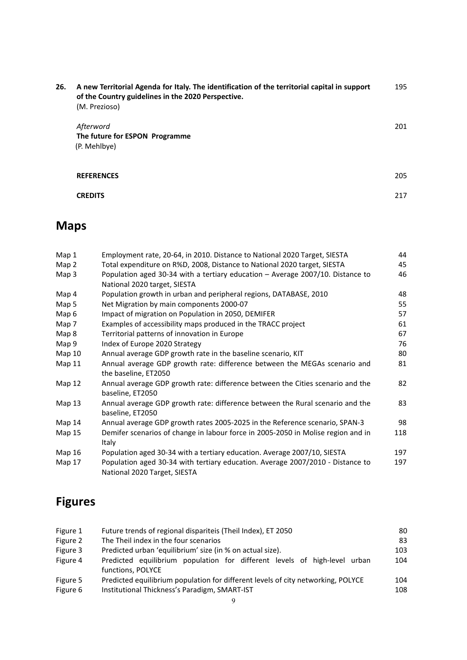| 26. | A new Territorial Agenda for Italy. The identification of the territorial capital in support<br>of the Country guidelines in the 2020 Perspective.<br>(M. Prezioso) | 195 |
|-----|---------------------------------------------------------------------------------------------------------------------------------------------------------------------|-----|
|     | Afterword<br>The future for ESPON Programme<br>(P. Mehlbye)                                                                                                         | 201 |
|     | <b>REFERENCES</b>                                                                                                                                                   | 205 |
|     | <b>CREDITS</b>                                                                                                                                                      | 217 |

# **Maps**

| Map 1         | Employment rate, 20-64, in 2010. Distance to National 2020 Target, SIESTA                                      | 44  |
|---------------|----------------------------------------------------------------------------------------------------------------|-----|
| Map 2         | Total expenditure on R%D, 2008, Distance to National 2020 target, SIESTA                                       | 45  |
| Map 3         | Population aged 30-34 with a tertiary education - Average 2007/10. Distance to<br>National 2020 target, SIESTA | 46  |
| Map 4         | Population growth in urban and peripheral regions, DATABASE, 2010                                              | 48  |
| Map 5         | Net Migration by main components 2000-07                                                                       | 55  |
| Map 6         | Impact of migration on Population in 2050, DEMIFER                                                             | 57  |
| Map 7         | Examples of accessibility maps produced in the TRACC project                                                   | 61  |
| Map 8         | Territorial patterns of innovation in Europe                                                                   | 67  |
| Map 9         | Index of Europe 2020 Strategy                                                                                  | 76  |
| Map 10        | Annual average GDP growth rate in the baseline scenario, KIT                                                   | 80  |
| Map 11        | Annual average GDP growth rate: difference between the MEGAs scenario and<br>the baseline, ET2050              | 81  |
| Map 12        | Annual average GDP growth rate: difference between the Cities scenario and the<br>baseline, ET2050             | 82  |
| Map $13$      | Annual average GDP growth rate: difference between the Rural scenario and the<br>baseline, ET2050              | 83  |
| Map 14        | Annual average GDP growth rates 2005-2025 in the Reference scenario, SPAN-3                                    | 98  |
| Map 15        | Demifer scenarios of change in labour force in 2005-2050 in Molise region and in<br>Italy                      | 118 |
| <b>Map 16</b> | Population aged 30-34 with a tertiary education. Average 2007/10, SIESTA                                       | 197 |
| Map 17        | Population aged 30-34 with tertiary education. Average 2007/2010 - Distance to<br>National 2020 Target, SIESTA | 197 |

# **Figures**

| Figure 1 | Future trends of regional dispariteis (Theil Index), ET 2050                     |     |  |  |  |
|----------|----------------------------------------------------------------------------------|-----|--|--|--|
| Figure 2 | The Theil index in the four scenarios                                            |     |  |  |  |
| Figure 3 | Predicted urban 'equilibrium' size (in % on actual size).                        | 103 |  |  |  |
| Figure 4 | Predicted equilibrium population for different levels of high-level urban        | 104 |  |  |  |
|          | functions, POLYCE                                                                |     |  |  |  |
| Figure 5 | Predicted equilibrium population for different levels of city networking, POLYCE |     |  |  |  |
| Figure 6 | Institutional Thickness's Paradigm, SMART-IST                                    |     |  |  |  |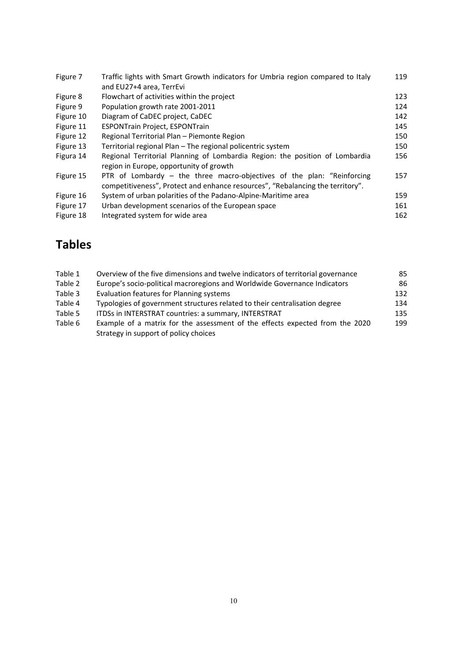| Figure 7  | Traffic lights with Smart Growth indicators for Umbria region compared to Italy | 119 |
|-----------|---------------------------------------------------------------------------------|-----|
|           | and EU27+4 area, TerrEvi                                                        |     |
| Figure 8  | Flowchart of activities within the project                                      | 123 |
| Figure 9  | Population growth rate 2001-2011                                                | 124 |
| Figure 10 | Diagram of CaDEC project, CaDEC                                                 | 142 |
| Figure 11 | <b>ESPONTrain Project, ESPONTrain</b>                                           | 145 |
| Figure 12 | Regional Territorial Plan - Piemonte Region                                     | 150 |
| Figure 13 | Territorial regional Plan - The regional policentric system                     | 150 |
| Figura 14 | Regional Territorial Planning of Lombardia Region: the position of Lombardia    | 156 |
|           | region in Europe, opportunity of growth                                         |     |
| Figure 15 | PTR of Lombardy – the three macro-objectives of the plan: "Reinforcing          | 157 |
|           | competitiveness", Protect and enhance resources", "Rebalancing the territory".  |     |
| Figure 16 | System of urban polarities of the Padano-Alpine-Maritime area                   | 159 |
| Figure 17 | Urban development scenarios of the European space                               | 161 |
| Figure 18 | Integrated system for wide area                                                 | 162 |

# **Tables**

| Table 1 | Overview of the five dimensions and twelve indicators of territorial governance                                       | 85  |
|---------|-----------------------------------------------------------------------------------------------------------------------|-----|
| Table 2 | Europe's socio-political macroregions and Worldwide Governance Indicators                                             | 86  |
| Table 3 | Evaluation features for Planning systems                                                                              | 132 |
| Table 4 | Typologies of government structures related to their centralisation degree                                            | 134 |
| Table 5 | ITDSs in INTERSTRAT countries: a summary, INTERSTRAT                                                                  | 135 |
| Table 6 | Example of a matrix for the assessment of the effects expected from the 2020<br>Strategy in support of policy choices | 199 |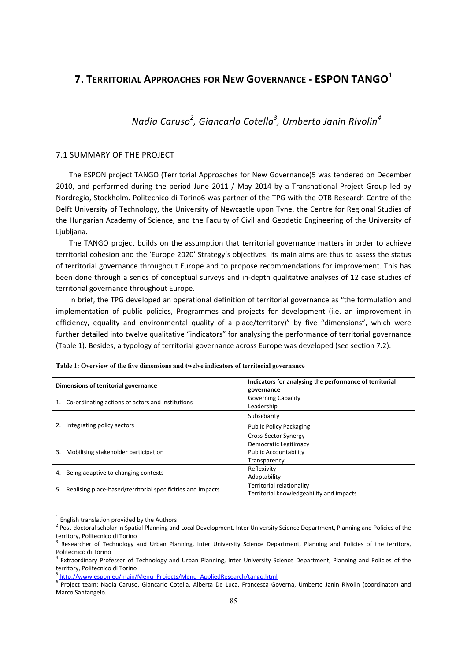## **7. TERRITORIAL APPROACHES FOR NEW GOVERNANCE - ESPON TANGO<sup>1</sup>**

## *Nadia Caruso<sup>2</sup> , Giancarlo Cotella<sup>3</sup> , Umberto Janin Rivolin<sup>4</sup>*

## 7.1 SUMMARY OF THE PROJECT

The ESPON project TANGO (Territorial Approaches for New Governance)5 was tendered on December 2010, and performed during the period June 2011 / May 2014 by a Transnational Project Group led by Nordregio, Stockholm. Politecnico di Torino6 was partner of the TPG with the OTB Research Centre of the Delft University of Technology, the University of Newcastle upon Tyne, the Centre for Regional Studies of the Hungarian Academy of Science, and the Faculty of Civil and Geodetic Engineering of the University of Ljubljana.

The TANGO project builds on the assumption that territorial governance matters in order to achieve territorial cohesion and the 'Europe 2020' Strategy's objectives. Its main aims are thus to assess the status of territorial governance throughout Europe and to propose recommendations for improvement. This has been done through a series of conceptual surveys and in-depth qualitative analyses of 12 case studies of territorial governance throughout Europe.

In brief, the TPG developed an operational definition of territorial governance as "the formulation and implementation of public policies, Programmes and projects for development (i.e. an improvement in efficiency, equality and environmental quality of a place/territory)" by five "dimensions", which were further detailed into twelve qualitative "indicators" for analysing the performance of territorial governance (Table 1). Besides, a typology of territorial governance across Europe was developed (see section 7.2).

| Dimensions of territorial governance |                                                             | Indicators for analysing the performance of territorial<br>governance |  |  |  |
|--------------------------------------|-------------------------------------------------------------|-----------------------------------------------------------------------|--|--|--|
|                                      | Co-ordinating actions of actors and institutions            | <b>Governing Capacity</b>                                             |  |  |  |
|                                      |                                                             | Leadership                                                            |  |  |  |
|                                      |                                                             | Subsidiarity                                                          |  |  |  |
|                                      | Integrating policy sectors                                  | <b>Public Policy Packaging</b>                                        |  |  |  |
|                                      |                                                             | Cross-Sector Synergy                                                  |  |  |  |
|                                      |                                                             | Democratic Legitimacy                                                 |  |  |  |
| 3.                                   | Mobilising stakeholder participation                        | <b>Public Accountability</b>                                          |  |  |  |
|                                      |                                                             | Transparency                                                          |  |  |  |
|                                      |                                                             | Reflexivity                                                           |  |  |  |
| 4.                                   | Being adaptive to changing contexts                         | Adaptability                                                          |  |  |  |
|                                      |                                                             | Territorial relationality                                             |  |  |  |
| 5.                                   | Realising place-based/territorial specificities and impacts | Territorial knowledgeability and impacts                              |  |  |  |

#### **Table 1: Overview of the five dimensions and twelve indicators of territorial governance**

 $\overline{a}$ 

<sup>&</sup>lt;sup>1</sup> English translation provided by the Authors<br><sup>2</sup> Post-doctoral scholar in Spatial Planning and Local Development, Inter University Science Department, Planning and Policies of the territory, Politecnico di Torino<br><sup>3</sup> Researcher of Technology and Urban Planning, Inter University Science Department, Planning and Policies of the territory,

Politecnico di Torino<br><sup>4</sup> Extraordinary Professor of Technology and Urban Planning, Inter University Science Department, Planning and Policies of the

territory, Politecnico di Torino<br><sup>5</sup> http://www.espon.eu/main/Menu\_Projects/Menu\_AppliedResearch/tango.html<br><sup>6</sup> Proiect team: Nadia Caruso, Giancarlo Cotella, Alberta De Luca. Francesca Governa, Umberto Janin Rivolin (coor

Marco Santangelo.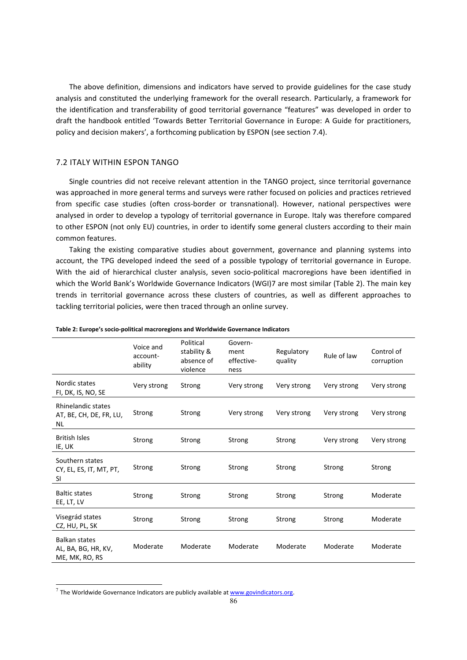The above definition, dimensions and indicators have served to provide guidelines for the case study analysis and constituted the underlying framework for the overall research. Particularly, a framework for the identification and transferability of good territorial governance "features" was developed in order to draft the handbook entitled 'Towards Better Territorial Governance in Europe: A Guide for practitioners, policy and decision makers', a forthcoming publication by ESPON (see section 7.4).

#### 7.2 ITALY WITHIN ESPON TANGO

Single countries did not receive relevant attention in the TANGO project, since territorial governance was approached in more general terms and surveys were rather focused on policies and practices retrieved from specific case studies (often cross-border or transnational). However, national perspectives were analysed in order to develop a typology of territorial governance in Europe. Italy was therefore compared to other ESPON (not only EU) countries, in order to identify some general clusters according to their main common features.

Taking the existing comparative studies about government, governance and planning systems into account, the TPG developed indeed the seed of a possible typology of territorial governance in Europe. With the aid of hierarchical cluster analysis, seven socio-political macroregions have been identified in which the World Bank's Worldwide Governance Indicators (WGI)7 are most similar (Table 2). The main key trends in territorial governance across these clusters of countries, as well as different approaches to tackling territorial policies, were then traced through an online survey.

|                                                               | Voice and<br>account-<br>ability | Political<br>stability &<br>absence of<br>violence | Govern-<br>ment<br>effective-<br>ness | Regulatory<br>quality | Rule of law | Control of<br>corruption |
|---------------------------------------------------------------|----------------------------------|----------------------------------------------------|---------------------------------------|-----------------------|-------------|--------------------------|
| Nordic states<br>FI, DK, IS, NO, SE                           | Very strong                      | Strong                                             | Very strong                           | Very strong           | Very strong | Very strong              |
| Rhinelandic states<br>AT, BE, CH, DE, FR, LU,<br><b>NL</b>    | Strong                           | Strong                                             | Very strong                           | Very strong           | Very strong | Very strong              |
| <b>British Isles</b><br>IE, UK                                | Strong                           | Strong                                             | Strong                                | Strong                | Very strong | Very strong              |
| Southern states<br>CY, EL, ES, IT, MT, PT,<br><b>SI</b>       | Strong                           | Strong                                             | Strong                                | Strong                | Strong      | Strong                   |
| <b>Baltic states</b><br>EE, LT, LV                            | Strong                           | Strong                                             | Strong                                | Strong                | Strong      | Moderate                 |
| Visegrád states<br>CZ, HU, PL, SK                             | Strong                           | Strong                                             | Strong                                | Strong                | Strong      | Moderate                 |
| <b>Balkan states</b><br>AL, BA, BG, HR, KV,<br>ME, MK, RO, RS | Moderate                         | Moderate                                           | Moderate                              | Moderate              | Moderate    | Moderate                 |

**Table 2: Europe's socioͲpolitical macroregions and Worldwide Governance Indicators**

l

 $^7$  The Worldwide Governance Indicators are publicly available at  $\underline{\text{www.govindicators.org}}$ .